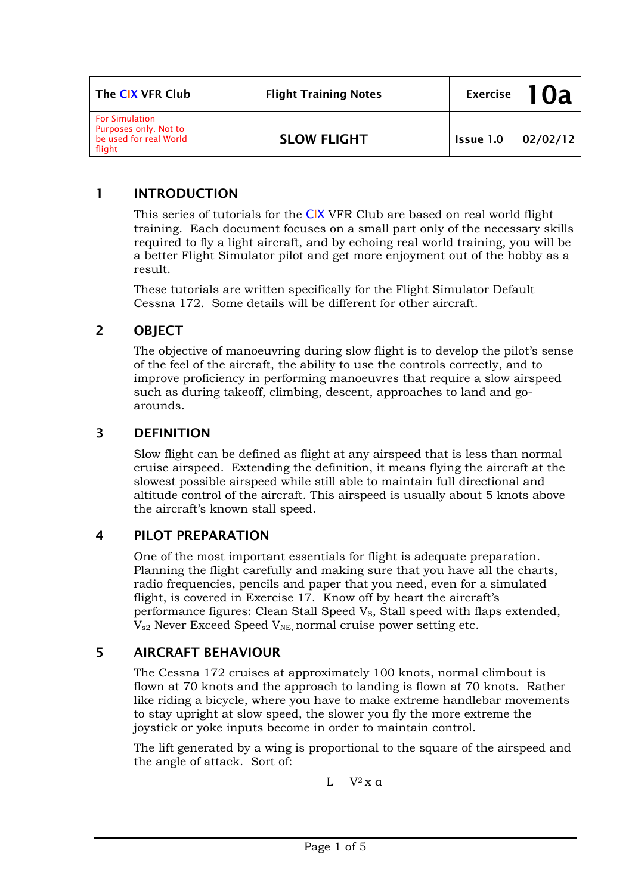| The CIX VFR Club                                                                   | <b>Flight Training Notes</b> | <b>Exercise</b> |          |
|------------------------------------------------------------------------------------|------------------------------|-----------------|----------|
| <b>For Simulation</b><br>Purposes only. Not to<br>be used for real World<br>flight | <b>SLOW FLIGHT</b>           | Issue 1.0       | 02/02/12 |

# 1 INTRODUCTION

This series of tutorials for the CIX VFR Club are based on real world flight training. Each document focuses on a small part only of the necessary skills required to fly a light aircraft, and by echoing real world training, you will be a better Flight Simulator pilot and get more enjoyment out of the hobby as a result.

These tutorials are written specifically for the Flight Simulator Default Cessna 172. Some details will be different for other aircraft.

## 2 OBJECT

The objective of manoeuvring during slow flight is to develop the pilot's sense of the feel of the aircraft, the ability to use the controls correctly, and to improve proficiency in performing manoeuvres that require a slow airspeed such as during takeoff, climbing, descent, approaches to land and goarounds.

#### 3 DEFINITION

Slow flight can be defined as flight at any airspeed that is less than normal cruise airspeed. Extending the definition, it means flying the aircraft at the slowest possible airspeed while still able to maintain full directional and altitude control of the aircraft. This airspeed is usually about 5 knots above the aircraft's known stall speed.

## 4 PILOT PREPARATION

One of the most important essentials for flight is adequate preparation. Planning the flight carefully and making sure that you have all the charts, radio frequencies, pencils and paper that you need, even for a simulated flight, is covered in Exercise 17. Know off by heart the aircraft's performance figures: Clean Stall Speed V<sub>S</sub>, Stall speed with flaps extended,  $V_{s2}$  Never Exceed Speed  $V_{NE}$  normal cruise power setting etc.

## 5 AIRCRAFT BEHAVIOUR

The Cessna 172 cruises at approximately 100 knots, normal climbout is flown at 70 knots and the approach to landing is flown at 70 knots. Rather like riding a bicycle, where you have to make extreme handlebar movements to stay upright at slow speed, the slower you fly the more extreme the joystick or yoke inputs become in order to maintain control.

The lift generated by a wing is proportional to the square of the airspeed and the angle of attack. Sort of:

L  $V^2$  x a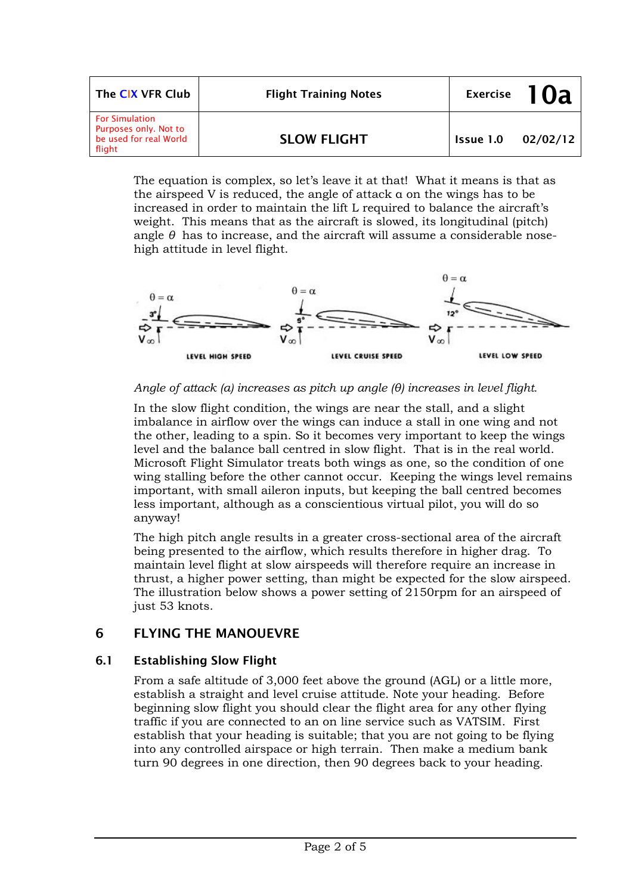| The CIX VFR Club                                                                   | <b>Flight Training Notes</b> |           | Exercise $10a$ |
|------------------------------------------------------------------------------------|------------------------------|-----------|----------------|
| <b>For Simulation</b><br>Purposes only. Not to<br>be used for real World<br>flight | <b>SLOW FLIGHT</b>           | Issue 1.0 | 02/02/12       |

The equation is complex, so let's leave it at that! What it means is that as the airspeed V is reduced, the angle of attack α on the wings has to be increased in order to maintain the lift L required to balance the aircraft's weight. This means that as the aircraft is slowed, its longitudinal (pitch) angle *θ* has to increase, and the aircraft will assume a considerable nosehigh attitude in level flight.



#### *Angle of attack (α) increases as pitch up angle (θ) increases in level flight.*

In the slow flight condition, the wings are near the stall, and a slight imbalance in airflow over the wings can induce a stall in one wing and not the other, leading to a spin. So it becomes very important to keep the wings level and the balance ball centred in slow flight. That is in the real world. Microsoft Flight Simulator treats both wings as one, so the condition of one wing stalling before the other cannot occur. Keeping the wings level remains important, with small aileron inputs, but keeping the ball centred becomes less important, although as a conscientious virtual pilot, you will do so anyway!

The high pitch angle results in a greater cross-sectional area of the aircraft being presented to the airflow, which results therefore in higher drag. To maintain level flight at slow airspeeds will therefore require an increase in thrust, a higher power setting, than might be expected for the slow airspeed. The illustration below shows a power setting of 2150rpm for an airspeed of just 53 knots.

## 6 FLYING THE MANOUEVRE

#### 6.1 Establishing Slow Flight

From a safe altitude of 3,000 feet above the ground (AGL) or a little more, establish a straight and level cruise attitude. Note your heading. Before beginning slow flight you should clear the flight area for any other flying traffic if you are connected to an on line service such as VATSIM. First establish that your heading is suitable; that you are not going to be flying into any controlled airspace or high terrain. Then make a medium bank turn 90 degrees in one direction, then 90 degrees back to your heading.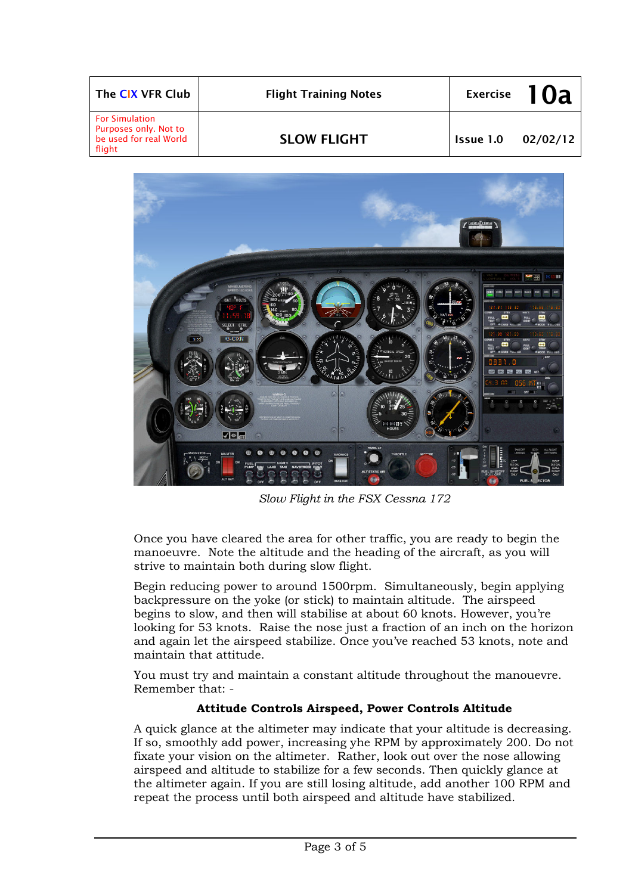| The CIX VFR Club                                                                   | <b>Flight Training Notes</b> |           | Exercise $10a$ |
|------------------------------------------------------------------------------------|------------------------------|-----------|----------------|
| <b>For Simulation</b><br>Purposes only. Not to<br>be used for real World<br>flight | <b>SLOW FLIGHT</b>           | Issue 1.0 | 02/02/12       |



*Slow Flight in the FSX Cessna 172* 

Once you have cleared the area for other traffic, you are ready to begin the manoeuvre. Note the altitude and the heading of the aircraft, as you will strive to maintain both during slow flight.

Begin reducing power to around 1500rpm. Simultaneously, begin applying backpressure on the yoke (or stick) to maintain altitude. The airspeed begins to slow, and then will stabilise at about 60 knots. However, you're looking for 53 knots. Raise the nose just a fraction of an inch on the horizon and again let the airspeed stabilize. Once you've reached 53 knots, note and maintain that attitude.

You must try and maintain a constant altitude throughout the manouevre. Remember that: -

## **Attitude Controls Airspeed, Power Controls Altitude**

A quick glance at the altimeter may indicate that your altitude is decreasing. If so, smoothly add power, increasing yhe RPM by approximately 200. Do not fixate your vision on the altimeter. Rather, look out over the nose allowing airspeed and altitude to stabilize for a few seconds. Then quickly glance at the altimeter again. If you are still losing altitude, add another 100 RPM and repeat the process until both airspeed and altitude have stabilized.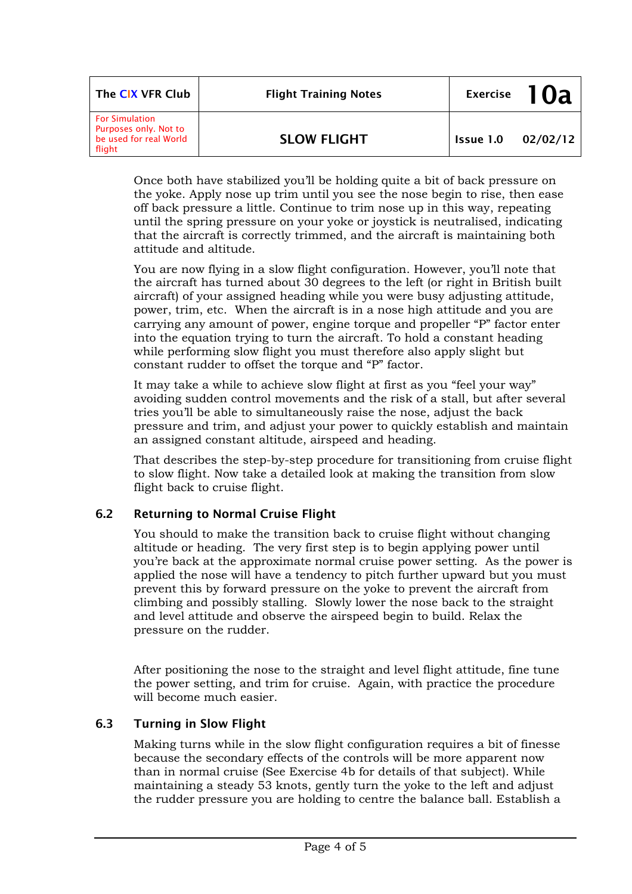| The CIX VFR Club                                                                   | <b>Flight Training Notes</b> |           | Exercise $10a$ |
|------------------------------------------------------------------------------------|------------------------------|-----------|----------------|
| <b>For Simulation</b><br>Purposes only. Not to<br>be used for real World<br>flight | <b>SLOW FLIGHT</b>           | Issue 1.0 | 02/02/12       |

Once both have stabilized you'll be holding quite a bit of back pressure on the yoke. Apply nose up trim until you see the nose begin to rise, then ease off back pressure a little. Continue to trim nose up in this way, repeating until the spring pressure on your yoke or joystick is neutralised, indicating that the aircraft is correctly trimmed, and the aircraft is maintaining both attitude and altitude.

You are now flying in a slow flight configuration. However, you'll note that the aircraft has turned about 30 degrees to the left (or right in British built aircraft) of your assigned heading while you were busy adjusting attitude, power, trim, etc. When the aircraft is in a nose high attitude and you are carrying any amount of power, engine torque and propeller "P" factor enter into the equation trying to turn the aircraft. To hold a constant heading while performing slow flight you must therefore also apply slight but constant rudder to offset the torque and "P" factor.

It may take a while to achieve slow flight at first as you "feel your way" avoiding sudden control movements and the risk of a stall, but after several tries you'll be able to simultaneously raise the nose, adjust the back pressure and trim, and adjust your power to quickly establish and maintain an assigned constant altitude, airspeed and heading.

That describes the step-by-step procedure for transitioning from cruise flight to slow flight. Now take a detailed look at making the transition from slow flight back to cruise flight.

## 6.2 Returning to Normal Cruise Flight

You should to make the transition back to cruise flight without changing altitude or heading. The very first step is to begin applying power until you're back at the approximate normal cruise power setting. As the power is applied the nose will have a tendency to pitch further upward but you must prevent this by forward pressure on the yoke to prevent the aircraft from climbing and possibly stalling. Slowly lower the nose back to the straight and level attitude and observe the airspeed begin to build. Relax the pressure on the rudder.

After positioning the nose to the straight and level flight attitude, fine tune the power setting, and trim for cruise. Again, with practice the procedure will become much easier.

#### 6.3 Turning in Slow Flight

Making turns while in the slow flight configuration requires a bit of finesse because the secondary effects of the controls will be more apparent now than in normal cruise (See Exercise 4b for details of that subject). While maintaining a steady 53 knots, gently turn the yoke to the left and adjust the rudder pressure you are holding to centre the balance ball. Establish a